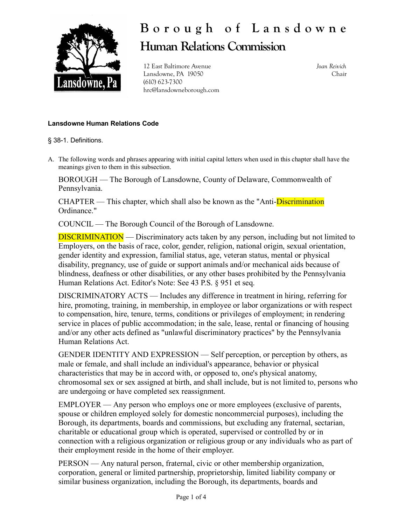

## **B o r o u g h o f L a n s d o w n e Human Relations Commission**

12 East Baltimore Avenue Lansdowne, PA 19050 (610) 623-7300 hrc@lansdowneborough.com *Joan Reivich* Chair

## **Lansdowne Human Relations Code**

§ 38-1. Definitions.

A. The following words and phrases appearing with initial capital letters when used in this chapter shall have the meanings given to them in this subsection.

BOROUGH — The Borough of Lansdowne, County of Delaware, Commonwealth of Pennsylvania.

CHAPTER — This chapter, which shall also be known as the "Anti-**Discrimination**" Ordinance."

COUNCIL — The Borough Council of the Borough of Lansdowne.

DISCRIMINATION — Discriminatory acts taken by any person, including but not limited to Employers, on the basis of race, color, gender, religion, national origin, sexual orientation, gender identity and expression, familial status, age, veteran status, mental or physical disability, pregnancy, use of guide or support animals and/or mechanical aids because of blindness, deafness or other disabilities, or any other bases prohibited by the Pennsylvania Human Relations Act. Editor's Note: See 43 P.S. § 951 et seq.

DISCRIMINATORY ACTS — Includes any difference in treatment in hiring, referring for hire, promoting, training, in membership, in employee or labor organizations or with respect to compensation, hire, tenure, terms, conditions or privileges of employment; in rendering service in places of public accommodation; in the sale, lease, rental or financing of housing and/or any other acts defined as "unlawful discriminatory practices" by the Pennsylvania Human Relations Act.

GENDER IDENTITY AND EXPRESSION — Self perception, or perception by others, as male or female, and shall include an individual's appearance, behavior or physical characteristics that may be in accord with, or opposed to, one's physical anatomy, chromosomal sex or sex assigned at birth, and shall include, but is not limited to, persons who are undergoing or have completed sex reassignment.

EMPLOYER — Any person who employs one or more employees (exclusive of parents, spouse or children employed solely for domestic noncommercial purposes), including the Borough, its departments, boards and commissions, but excluding any fraternal, sectarian, charitable or educational group which is operated, supervised or controlled by or in connection with a religious organization or religious group or any individuals who as part of their employment reside in the home of their employer.

PERSON — Any natural person, fraternal, civic or other membership organization, corporation, general or limited partnership, proprietorship, limited liability company or similar business organization, including the Borough, its departments, boards and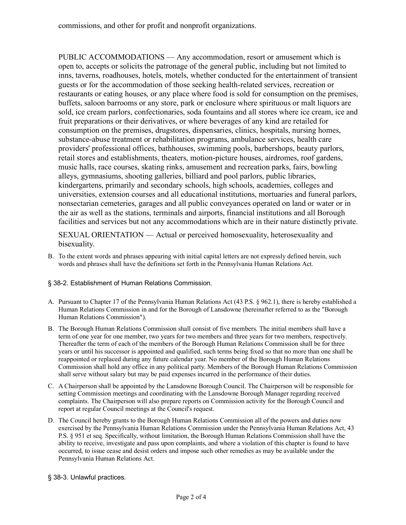PUBLIC ACCOMMODATIONS — Any accommodation, resort or amusement which is open to, accepts or solicits the patronage of the general public, including but not limited to inns, taverns, roadhouses, hotels, motels, whether conducted for the entertainment of transient guests or for the accommodation of those seeking health-related services, recreation or restaurants or eating houses, or any place where food is sold for consumption on the premises, buffets, saloon barrooms or any store, park or enclosure where spirituous or malt liquors are sold, ice cream parlors, confectionaries, soda fountains and all stores where ice cream, ice and fruit preparations or their derivatives, or where beverages of any kind are retailed for consumption on the premises, drugstores, dispensaries, clinics, hospitals, nursing homes, substance-abuse treatment or rehabilitation programs, ambulance services, health care providers' professional offices, bathhouses, swimming pools, barbershops, beauty parlors, retail stores and establishments, theaters, motion-picture houses, airdromes, roof gardens, music halls, race courses, skating rinks, amusement and recreation parks, fairs, bowling alleys, gymnasiums, shooting galleries, billiard and pool parlors, public libraries, kindergartens, primarily and secondary schools, high schools, academies, colleges and universities, extension courses and all educational institutions, mortuaries and funeral parlors, nonsectarian cemeteries, garages and all public conveyances operated on land or water or in the air as well as the stations, terminals and airports, financial institutions and all Borough facilities and services but not any accommodations which are in their nature distinctly private.

SEXUAL ORIENTATION — Actual or perceived homosexuality, heterosexuality and bisexuality.

B. To the extent words and phrases appearing with initial capital letters are not expressly defined herein, such words and phrases shall have the definitions set forth in the Pennsylvania Human Relations Act.

## § 38-2. Establishment of Human Relations Commission.

- A. Pursuant to Chapter 17 of the Pennsylvania Human Relations Act (43 P.S. § 962.1), there is hereby established a Human Relations Commission in and for the Borough of Lansdowne (hereinafter referred to as the "Borough Human Relations Commission").
- B. The Borough Human Relations Commission shall consist of five members. The initial members shall have a term of one year for one member, two years for two members and three years for two members, respectively. Thereafter the term of each of the members of the Borough Human Relations Commission shall be for three years or until his successor is appointed and qualified, such terms being fixed so that no more than one shall be reappointed or replaced during any future calendar year. No member of the Borough Human Relations Commission shall hold any office in any political party. Members of the Borough Human Relations Commission shall serve without salary but may be paid expenses incurred in the performance of their duties.
- C. A Chairperson shall be appointed by the Lansdowne Borough Council. The Chairperson will be responsible for setting Commission meetings and coordinating with the Lansdowne Borough Manager regarding received complaints. The Chairperson will also prepare reports on Commission activity for the Borough Council and report at regular Council meetings at the Council's request.
- D. The Council hereby grants to the Borough Human Relations Commission all of the powers and duties now exercised by the Pennsylvania Human Relations Commission under the Pennsylvania Human Relations Act, 43 P.S. § 951 et seq. Specifically, without limitation, the Borough Human Relations Commission shall have the ability to receive, investigate and pass upon complaints, and where a violation of this chapter is found to have occurred, to issue cease and desist orders and impose such other remedies as may be available under the Pennsylvania Human Relations Act.
- § 38-3. Unlawful practices.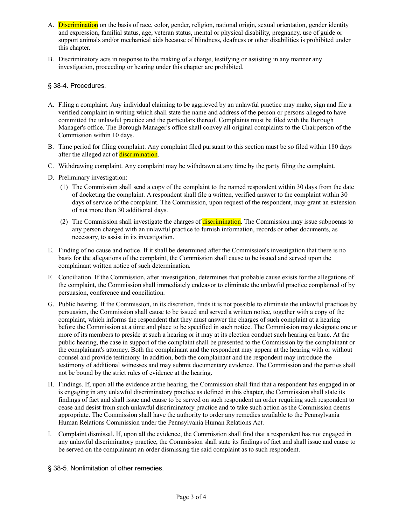- A. Discrimination on the basis of race, color, gender, religion, national origin, sexual orientation, gender identity and expression, familial status, age, veteran status, mental or physical disability, pregnancy, use of guide or support animals and/or mechanical aids because of blindness, deafness or other disabilities is prohibited under this chapter.
- B. Discriminatory acts in response to the making of a charge, testifying or assisting in any manner any investigation, proceeding or hearing under this chapter are prohibited.

## § 38-4. Procedures.

- A. Filing a complaint. Any individual claiming to be aggrieved by an unlawful practice may make, sign and file a verified complaint in writing which shall state the name and address of the person or persons alleged to have committed the unlawful practice and the particulars thereof. Complaints must be filed with the Borough Manager's office. The Borough Manager's office shall convey all original complaints to the Chairperson of the Commission within 10 days.
- B. Time period for filing complaint. Any complaint filed pursuant to this section must be so filed within 180 days after the alleged act of discrimination.
- C. Withdrawing complaint. Any complaint may be withdrawn at any time by the party filing the complaint.
- D. Preliminary investigation:
	- (1) The Commission shall send a copy of the complaint to the named respondent within 30 days from the date of docketing the complaint. A respondent shall file a written, verified answer to the complaint within 30 days of service of the complaint. The Commission, upon request of the respondent, may grant an extension of not more than 30 additional days.
	- (2) The Commission shall investigate the charges of **discrimination**. The Commission may issue subpoenas to any person charged with an unlawful practice to furnish information, records or other documents, as necessary, to assist in its investigation.
- E. Finding of no cause and notice. If it shall be determined after the Commission's investigation that there is no basis for the allegations of the complaint, the Commission shall cause to be issued and served upon the complainant written notice of such determination.
- F. Conciliation. If the Commission, after investigation, determines that probable cause exists for the allegations of the complaint, the Commission shall immediately endeavor to eliminate the unlawful practice complained of by persuasion, conference and conciliation.
- G. Public hearing. If the Commission, in its discretion, finds it is not possible to eliminate the unlawful practices by persuasion, the Commission shall cause to be issued and served a written notice, together with a copy of the complaint, which informs the respondent that they must answer the charges of such complaint at a hearing before the Commission at a time and place to be specified in such notice. The Commission may designate one or more of its members to preside at such a hearing or it may at its election conduct such hearing en banc. At the public hearing, the case in support of the complaint shall be presented to the Commission by the complainant or the complainant's attorney. Both the complainant and the respondent may appear at the hearing with or without counsel and provide testimony. In addition, both the complainant and the respondent may introduce the testimony of additional witnesses and may submit documentary evidence. The Commission and the parties shall not be bound by the strict rules of evidence at the hearing.
- H. Findings. If, upon all the evidence at the hearing, the Commission shall find that a respondent has engaged in or is engaging in any unlawful discriminatory practice as defined in this chapter, the Commission shall state its findings of fact and shall issue and cause to be served on such respondent an order requiring such respondent to cease and desist from such unlawful discriminatory practice and to take such action as the Commission deems appropriate. The Commission shall have the authority to order any remedies available to the Pennsylvania Human Relations Commission under the Pennsylvania Human Relations Act.
- I. Complaint dismissal. If, upon all the evidence, the Commission shall find that a respondent has not engaged in any unlawful discriminatory practice, the Commission shall state its findings of fact and shall issue and cause to be served on the complainant an order dismissing the said complaint as to such respondent.
- § 38-5. Nonlimitation of other remedies.